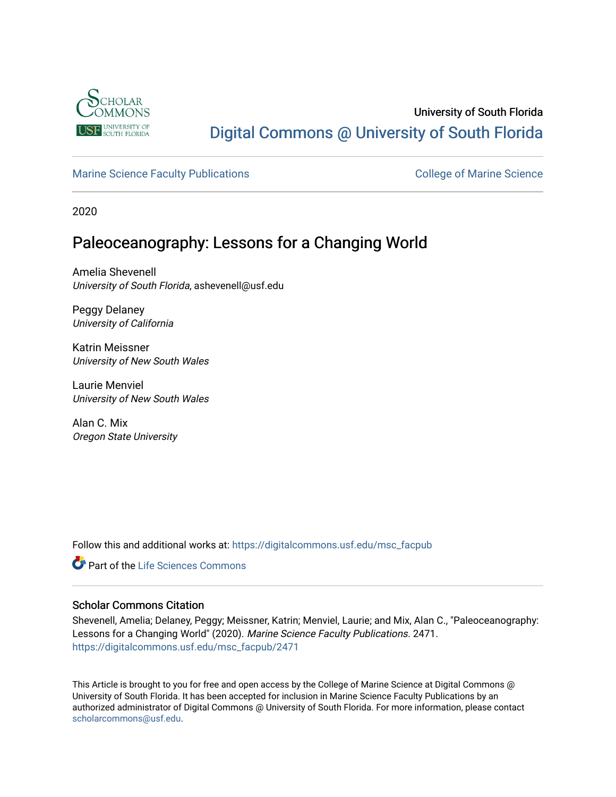

# University of South Florida [Digital Commons @ University of South Florida](https://digitalcommons.usf.edu/)

## [Marine Science Faculty Publications](https://digitalcommons.usf.edu/msc_facpub) **College of Marine Science** College of Marine Science

2020

## Paleoceanography: Lessons for a Changing World

Amelia Shevenell University of South Florida, ashevenell@usf.edu

Peggy Delaney University of California

Katrin Meissner University of New South Wales

Laurie Menviel University of New South Wales

Alan C. Mix Oregon State University

Follow this and additional works at: [https://digitalcommons.usf.edu/msc\\_facpub](https://digitalcommons.usf.edu/msc_facpub?utm_source=digitalcommons.usf.edu%2Fmsc_facpub%2F2471&utm_medium=PDF&utm_campaign=PDFCoverPages) 

**C** Part of the Life Sciences Commons

#### Scholar Commons Citation

Shevenell, Amelia; Delaney, Peggy; Meissner, Katrin; Menviel, Laurie; and Mix, Alan C., "Paleoceanography: Lessons for a Changing World" (2020). Marine Science Faculty Publications. 2471. [https://digitalcommons.usf.edu/msc\\_facpub/2471](https://digitalcommons.usf.edu/msc_facpub/2471?utm_source=digitalcommons.usf.edu%2Fmsc_facpub%2F2471&utm_medium=PDF&utm_campaign=PDFCoverPages) 

This Article is brought to you for free and open access by the College of Marine Science at Digital Commons @ University of South Florida. It has been accepted for inclusion in Marine Science Faculty Publications by an authorized administrator of Digital Commons @ University of South Florida. For more information, please contact [scholarcommons@usf.edu.](mailto:scholarcommons@usf.edu)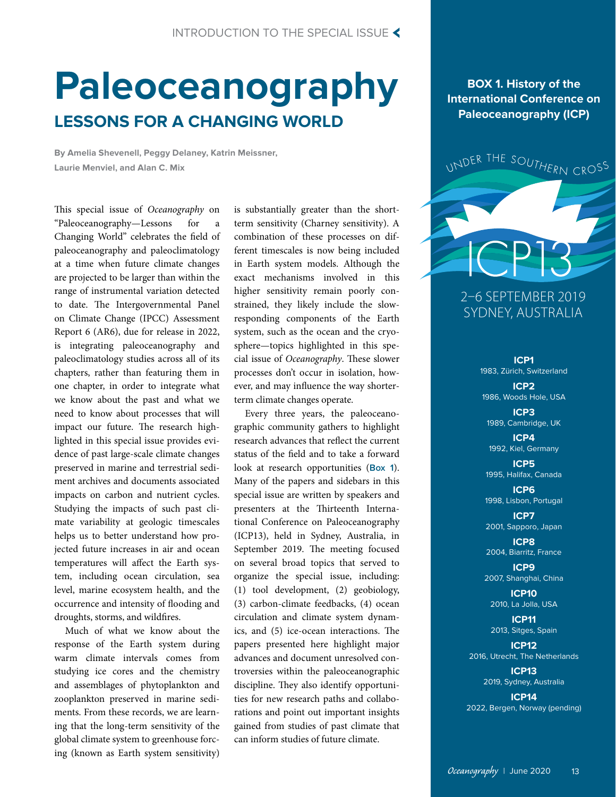# **Paleoceanography LESSONS FOR A CHANGING WORLD**

**By Amelia Shevenell, Peggy Delaney, Katrin Meissner, Laurie Menviel, and Alan C. Mix**

This special issue of *Oceanography* on "Paleoceanography—Lessons for a Changing World" celebrates the field of paleoceanography and paleoclimatology at a time when future climate changes are projected to be larger than within the range of instrumental variation detected to date. The Intergovernmental Panel on Climate Change (IPCC) Assessment Report 6 (AR6), due for release in 2022, is integrating paleoceanography and paleoclimatology studies across all of its chapters, rather than featuring them in one chapter, in order to integrate what we know about the past and what we need to know about processes that will impact our future. The research highlighted in this special issue provides evidence of past large-scale climate changes preserved in marine and terrestrial sediment archives and documents associated impacts on carbon and nutrient cycles. Studying the impacts of such past climate variability at geologic timescales helps us to better understand how projected future increases in air and ocean temperatures will affect the Earth system, including ocean circulation, sea level, marine ecosystem health, and the occurrence and intensity of flooding and droughts, storms, and wildfires.

Much of what we know about the response of the Earth system during warm climate intervals comes from studying ice cores and the chemistry and assemblages of phytoplankton and zooplankton preserved in marine sediments. From these records, we are learning that the long-term sensitivity of the global climate system to greenhouse forcing (known as Earth system sensitivity) is substantially greater than the shortterm sensitivity (Charney sensitivity). A combination of these processes on different timescales is now being included in Earth system models. Although the exact mechanisms involved in this higher sensitivity remain poorly constrained, they likely include the slowresponding components of the Earth system, such as the ocean and the cryosphere—topics highlighted in this special issue of *Oceanography*. These slower processes don't occur in isolation, however, and may influence the way shorterterm climate changes operate.

Every three years, the paleoceanographic community gathers to highlight research advances that reflect the current status of the field and to take a forward look at research opportunities (**Box 1**). Many of the papers and sidebars in this special issue are written by speakers and presenters at the Thirteenth International Conference on Paleoceanography (ICP13), held in Sydney, Australia, in September 2019. The meeting focused on several broad topics that served to organize the special issue, including: (1) tool development, (2) geobiology, (3) carbon-climate feedbacks, (4) ocean circulation and climate system dynamics, and (5) ice-ocean interactions. The papers presented here highlight major advances and document unresolved controversies within the paleoceanographic discipline. They also identify opportunities for new research paths and collaborations and point out important insights gained from studies of past climate that can inform studies of future climate.

**BOX 1. History of the International Conference on Paleoceanography (ICP)** 



# SYDNEY, AUSTRALIA

**ICP1** 1983, Zürich, Switzerland

**ICP2**

1986, Woods Hole, USA **ICP3** 1989, Cambridge, UK

**ICP4** 1992, Kiel, Germany

**ICP5** 1995, Halifax, Canada

**ICP6** 1998, Lisbon, Portugal

**ICP7** 2001, Sapporo, Japan

**ICP8** 2004, Biarritz, France

**ICP9** 2007, Shanghai, China

**ICP10** 2010, La Jolla, USA

**ICP11** 2013, Sitges, Spain

**ICP12** 2016, Utrecht, The Netherlands

> **ICP13** 2019, Sydney, Australia

**ICP14** 2022, Bergen, Norway (pending)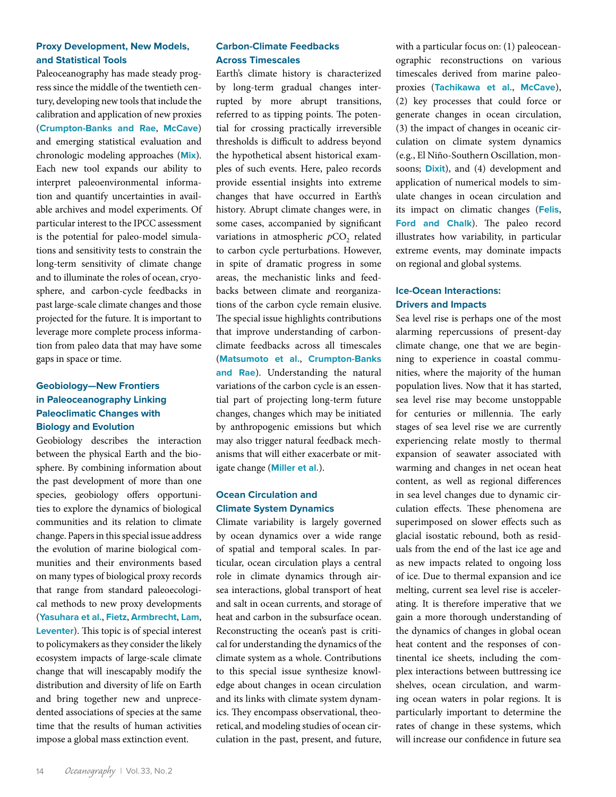#### **Proxy Development, New Models, and Statistical Tools**

Paleoceanography has made steady progress since the middle of the twentieth century, developing new tools that include the calibration and application of new proxies (**Crumpton-Banks and Rae**, **McCave**) and emerging statistical evaluation and chronologic modeling approaches (**Mix**). Each new tool expands our ability to interpret paleoenvironmental information and quantify uncertainties in available archives and model experiments. Of particular interest to the IPCC assessment is the potential for paleo-model simulations and sensitivity tests to constrain the long-term sensitivity of climate change and to illuminate the roles of ocean, cryosphere, and carbon-cycle feedbacks in past large-scale climate changes and those projected for the future. It is important to leverage more complete process information from paleo data that may have some gaps in space or time.

### **Geobiology—New Frontiers in Paleoceanography Linking Paleoclimatic Changes with Biology and Evolution**

Geobiology describes the interaction between the physical Earth and the biosphere. By combining information about the past development of more than one species, geobiology offers opportunities to explore the dynamics of biological communities and its relation to climate change. Papers in this special issue address the evolution of marine biological communities and their environments based on many types of biological proxy records that range from standard paleoecological methods to new proxy developments (**Yasuhara et al.**, **Fietz**, **Armbrecht**, **Lam**, **Leventer**). This topic is of special interest to policymakers as they consider the likely ecosystem impacts of large-scale climate change that will inescapably modify the distribution and diversity of life on Earth and bring together new and unprecedented associations of species at the same time that the results of human activities impose a global mass extinction event.

### **Carbon-Climate Feedbacks Across Timescales**

Earth's climate history is characterized by long-term gradual changes interrupted by more abrupt transitions, referred to as tipping points. The potential for crossing practically irreversible thresholds is difficult to address beyond the hypothetical absent historical examples of such events. Here, paleo records provide essential insights into extreme changes that have occurred in Earth's history. Abrupt climate changes were, in some cases, accompanied by significant variations in atmospheric *pCO*<sub>2</sub> related to carbon cycle perturbations. However, in spite of dramatic progress in some areas, the mechanistic links and feedbacks between climate and reorganizations of the carbon cycle remain elusive. The special issue highlights contributions that improve understanding of carbonclimate feedbacks across all timescales (**Matsumoto et al.**, **Crumpton-Banks and Rae**). Understanding the natural variations of the carbon cycle is an essential part of projecting long-term future changes, changes which may be initiated by anthropogenic emissions but which may also trigger natural feedback mechanisms that will either exacerbate or mitigate change (**Miller et al.**).

#### **Ocean Circulation and Climate System Dynamics**

Climate variability is largely governed by ocean dynamics over a wide range of spatial and temporal scales. In particular, ocean circulation plays a central role in climate dynamics through airsea interactions, global transport of heat and salt in ocean currents, and storage of heat and carbon in the subsurface ocean. Reconstructing the ocean's past is critical for understanding the dynamics of the climate system as a whole. Contributions to this special issue synthesize knowledge about changes in ocean circulation and its links with climate system dynamics. They encompass observational, theoretical, and modeling studies of ocean circulation in the past, present, and future,

with a particular focus on: (1) paleoceanographic reconstructions on various timescales derived from marine paleoproxies (**Tachikawa et al.**, **McCave**), (2) key processes that could force or generate changes in ocean circulation, (3) the impact of changes in oceanic circulation on climate system dynamics (e.g., El Niño-Southern Oscillation, monsoons; **Dixit**), and (4) development and application of numerical models to simulate changes in ocean circulation and its impact on climatic changes (**Felis**, **Ford and Chalk**). The paleo record illustrates how variability, in particular extreme events, may dominate impacts on regional and global systems.

#### **Ice-Ocean Interactions: Drivers and Impacts**

Sea level rise is perhaps one of the most alarming repercussions of present-day climate change, one that we are beginning to experience in coastal communities, where the majority of the human population lives. Now that it has started, sea level rise may become unstoppable for centuries or millennia. The early stages of sea level rise we are currently experiencing relate mostly to thermal expansion of seawater associated with warming and changes in net ocean heat content, as well as regional differences in sea level changes due to dynamic circulation effects. These phenomena are superimposed on slower effects such as glacial isostatic rebound, both as residuals from the end of the last ice age and as new impacts related to ongoing loss of ice. Due to thermal expansion and ice melting, current sea level rise is accelerating. It is therefore imperative that we gain a more thorough understanding of the dynamics of changes in global ocean heat content and the responses of continental ice sheets, including the complex interactions between buttressing ice shelves, ocean circulation, and warming ocean waters in polar regions. It is particularly important to determine the rates of change in these systems, which will increase our confidence in future sea